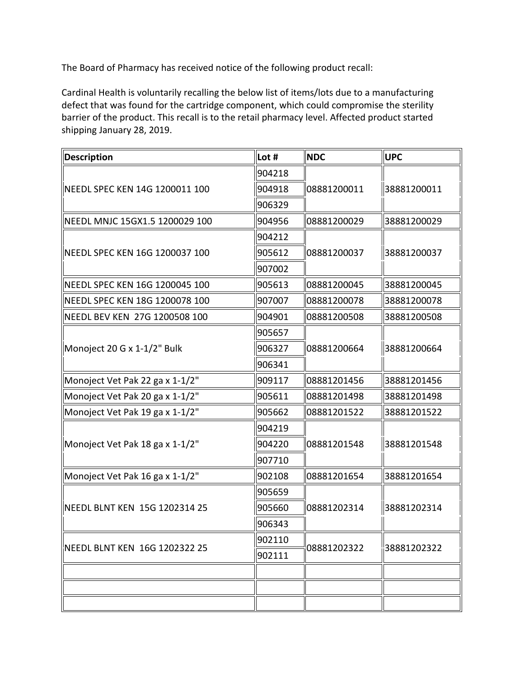The Board of Pharmacy has received notice of the following product recall:

 barrier of the product. This recall is to the retail pharmacy level. Affected product started Cardinal Health is voluntarily recalling the below list of items/lots due to a manufacturing defect that was found for the cartridge component, which could compromise the sterility shipping January 28, 2019.

| Description                     | Lot #  | <b>NDC</b>  | <b>UPC</b>  |
|---------------------------------|--------|-------------|-------------|
| NEEDL SPEC KEN 14G 1200011 100  | 904218 | 08881200011 | 38881200011 |
|                                 | 904918 |             |             |
|                                 | 906329 |             |             |
| NEEDL MNJC 15GX1.5 1200029 100  | 904956 | 08881200029 | 38881200029 |
| NEEDL SPEC KEN 16G 1200037 100  | 904212 |             | 38881200037 |
|                                 | 905612 | 08881200037 |             |
|                                 | 907002 |             |             |
| NEEDL SPEC KEN 16G 1200045 100  | 905613 | 08881200045 | 38881200045 |
| NEEDL SPEC KEN 18G 1200078 100  | 907007 | 08881200078 | 38881200078 |
| NEEDL BEV KEN 27G 1200508 100   | 904901 | 08881200508 | 38881200508 |
| Monoject 20 G x 1-1/2" Bulk     | 905657 |             | 38881200664 |
|                                 | 906327 | 08881200664 |             |
|                                 | 906341 |             |             |
| Monoject Vet Pak 22 ga x 1-1/2" | 909117 | 08881201456 | 38881201456 |
| Monoject Vet Pak 20 ga x 1-1/2" | 905611 | 08881201498 | 38881201498 |
| Monoject Vet Pak 19 ga x 1-1/2" | 905662 | 08881201522 | 38881201522 |
| Monoject Vet Pak 18 ga x 1-1/2" | 904219 | 08881201548 | 38881201548 |
|                                 | 904220 |             |             |
|                                 | 907710 |             |             |
| Monoject Vet Pak 16 ga x 1-1/2" | 902108 | 08881201654 | 38881201654 |
| NEEDL BLNT KEN 15G 1202314 25   | 905659 | 08881202314 | 38881202314 |
|                                 | 905660 |             |             |
|                                 | 906343 |             |             |
| NEEDL BLNT KEN 16G 1202322 25   | 902110 | 08881202322 | 38881202322 |
|                                 | 902111 |             |             |
|                                 |        |             |             |
|                                 |        |             |             |
|                                 |        |             |             |